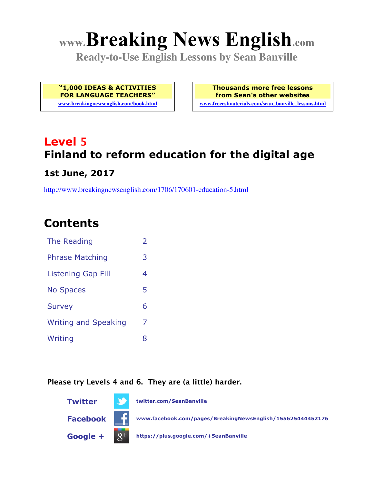# **www.Breaking News English.com**

**Ready-to-Use English Lessons by Sean Banville**

**"1,000 IDEAS & ACTIVITIES FOR LANGUAGE TEACHERS"**

**www.breakingnewsenglish.com/book.html**

**Thousands more free lessons from Sean's other websites www.freeeslmaterials.com/sean\_banville\_lessons.html**

# **Level 5 Finland to reform education for the digital age**

#### **1st June, 2017**

http://www.breakingnewsenglish.com/1706/170601-education-5.html

### **Contents**

| The Reading                 | $\overline{\phantom{a}}$ |
|-----------------------------|--------------------------|
| <b>Phrase Matching</b>      | 3                        |
| <b>Listening Gap Fill</b>   | 4                        |
| <b>No Spaces</b>            | 5                        |
| <b>Survey</b>               | 6                        |
| <b>Writing and Speaking</b> | 7                        |
| Writing                     | 8                        |

#### **Please try Levels 4 and 6. They are (a little) harder.**

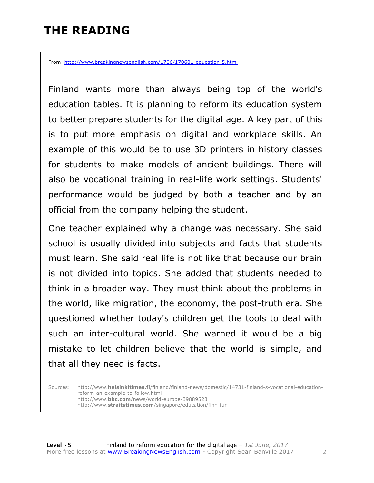### **THE READING**

From http://www.breakingnewsenglish.com/1706/170601-education-5.html

Finland wants more than always being top of the world's education tables. It is planning to reform its education system to better prepare students for the digital age. A key part of this is to put more emphasis on digital and workplace skills. An example of this would be to use 3D printers in history classes for students to make models of ancient buildings. There will also be vocational training in real-life work settings. Students' performance would be judged by both a teacher and by an official from the company helping the student.

One teacher explained why a change was necessary. She said school is usually divided into subjects and facts that students must learn. She said real life is not like that because our brain is not divided into topics. She added that students needed to think in a broader way. They must think about the problems in the world, like migration, the economy, the post-truth era. She questioned whether today's children get the tools to deal with such an inter-cultural world. She warned it would be a big mistake to let children believe that the world is simple, and that all they need is facts.

Sources: http://www.**helsinkitimes.fi**/finland/finland-news/domestic/14731-finland-s-vocational-educationreform-an-example-to-follow.html http://www.**bbc.com**/news/world-europe-39889523 http://www.**straitstimes.com**/singapore/education/finn-fun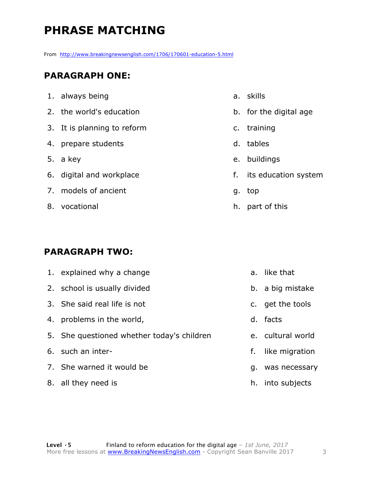## **PHRASE MATCHING**

From http://www.breakingnewsenglish.com/1706/170601-education-5.html

#### **PARAGRAPH ONE:**

| 1. always being             | a. |
|-----------------------------|----|
| 2. the world's education    | b. |
| 3. It is planning to reform | c. |
| 4. prepare students         | d. |
| 5. a key                    | e. |
| 6. digital and workplace    | f. |
| 7. models of ancient        | g. |
| 8. vocational               | h. |
|                             |    |

#### **PARAGRAPH TWO:**

|    | 1. explained why a change                  |    | a. like that      |
|----|--------------------------------------------|----|-------------------|
|    | 2. school is usually divided               |    | b. a big mistake  |
|    | 3. She said real life is not               |    | c. get the tools  |
| 4. | problems in the world,                     |    | d. facts          |
|    | 5. She questioned whether today's children |    | e. cultural world |
|    | 6. such an inter-                          | f. | like migration    |
|    | 7. She warned it would be                  | q. | was necessary     |
|    | 8. all they need is                        |    | h. into subjects  |
|    |                                            |    |                   |

**skills** 

- for the digital age
- training
- tables
- buildings
- its education system
- top
- part of this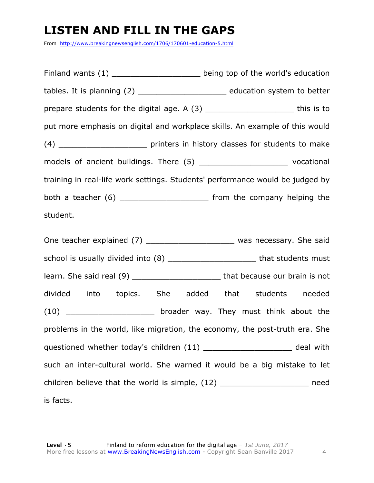### **LISTEN AND FILL IN THE GAPS**

From http://www.breakingnewsenglish.com/1706/170601-education-5.html

| Finland wants (1) ________________________ being top of the world's education    |  |
|----------------------------------------------------------------------------------|--|
| tables. It is planning (2) __________________________ education system to better |  |
| prepare students for the digital age. A (3) _________________________this is to  |  |
| put more emphasis on digital and workplace skills. An example of this would      |  |
|                                                                                  |  |
| models of ancient buildings. There (5) __________________________ vocational     |  |
| training in real-life work settings. Students' performance would be judged by    |  |
| both a teacher (6) ___________________________ from the company helping the      |  |
| student.                                                                         |  |

One teacher explained (7) \_\_\_\_\_\_\_\_\_\_\_\_\_\_\_\_\_\_\_\_\_\_\_\_ was necessary. She said school is usually divided into (8) \_\_\_\_\_\_\_\_\_\_\_\_\_\_\_\_\_\_\_\_\_\_\_\_\_\_that students must learn. She said real (9) \_\_\_\_\_\_\_\_\_\_\_\_\_\_\_\_\_\_\_\_\_\_\_\_\_\_\_ that because our brain is not divided into topics. She added that students needed (10) \_\_\_\_\_\_\_\_\_\_\_\_\_\_\_\_\_\_\_\_\_ broader way. They must think about the problems in the world, like migration, the economy, the post-truth era. She questioned whether today's children (11) \_\_\_\_\_\_\_\_\_\_\_\_\_\_\_\_\_\_\_\_\_ deal with such an inter-cultural world. She warned it would be a big mistake to let children believe that the world is simple, (12) \_\_\_\_\_\_\_\_\_\_\_\_\_\_\_\_\_\_\_\_\_\_ need is facts.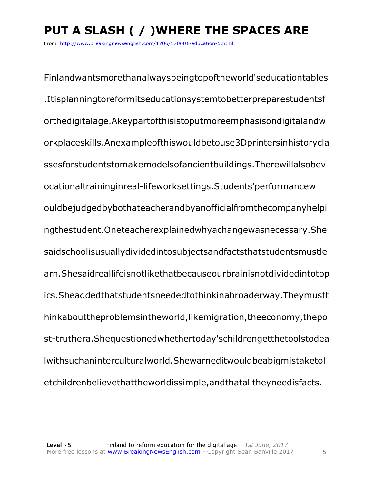# **PUT A SLASH ( / )WHERE THE SPACES ARE**

From http://www.breakingnewsenglish.com/1706/170601-education-5.html

Finlandwantsmorethanalwaysbeingtopoftheworld'seducationtables .Itisplanningtoreformitseducationsystemtobetterpreparestudentsf orthedigitalage.Akeypartofthisistoputmoreemphasisondigitalandw orkplaceskills.Anexampleofthiswouldbetouse3Dprintersinhistorycla ssesforstudentstomakemodelsofancientbuildings.Therewillalsobev ocationaltraininginreal-lifeworksettings.Students'performancew ouldbejudgedbybothateacherandbyanofficialfromthecompanyhelpi ngthestudent.Oneteacherexplainedwhyachangewasnecessary.She saidschoolisusuallydividedintosubjectsandfactsthatstudentsmustle arn.Shesaidreallifeisnotlikethatbecauseourbrainisnotdividedintotop ics.Sheaddedthatstudentsneededtothinkinabroaderway.Theymustt hinkabouttheproblemsintheworld,likemigration,theeconomy,thepo st-truthera.Shequestionedwhethertoday'schildrengetthetoolstodea lwithsuchaninterculturalworld.Shewarneditwouldbeabigmistaketol etchildrenbelievethattheworldissimple,andthatalltheyneedisfacts.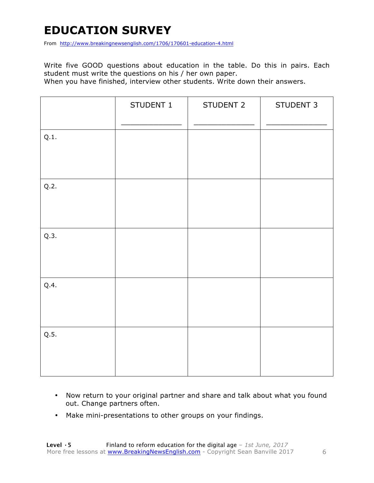### **EDUCATION SURVEY**

From http://www.breakingnewsenglish.com/1706/170601-education-4.html

Write five GOOD questions about education in the table. Do this in pairs. Each student must write the questions on his / her own paper.

When you have finished, interview other students. Write down their answers.

|      | STUDENT 1 | STUDENT 2 | STUDENT 3 |
|------|-----------|-----------|-----------|
| Q.1. |           |           |           |
| Q.2. |           |           |           |
| Q.3. |           |           |           |
| Q.4. |           |           |           |
| Q.5. |           |           |           |

- Now return to your original partner and share and talk about what you found out. Change partners often.
- Make mini-presentations to other groups on your findings.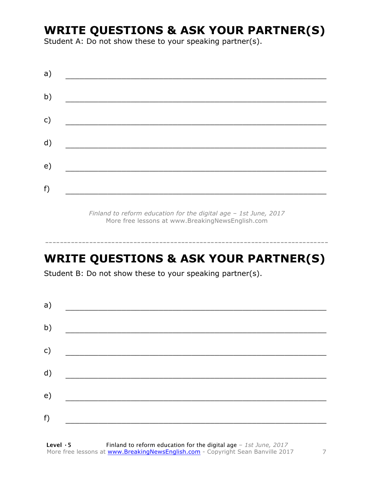### **WRITE QUESTIONS & ASK YOUR PARTNER(S)**

Student A: Do not show these to your speaking partner(s).

| a) |  |  |
|----|--|--|
| b) |  |  |
| c) |  |  |
| d) |  |  |
| e) |  |  |
| f) |  |  |
|    |  |  |

*Finland to reform education for the digital age – 1st June, 2017* More free lessons at www.BreakingNewsEnglish.com

## **WRITE QUESTIONS & ASK YOUR PARTNER(S)**

-----------------------------------------------------------------------------

Student B: Do not show these to your speaking partner(s).

| a) |  |  |
|----|--|--|
| b) |  |  |
| c) |  |  |
| d) |  |  |
| e) |  |  |
| f) |  |  |
|    |  |  |